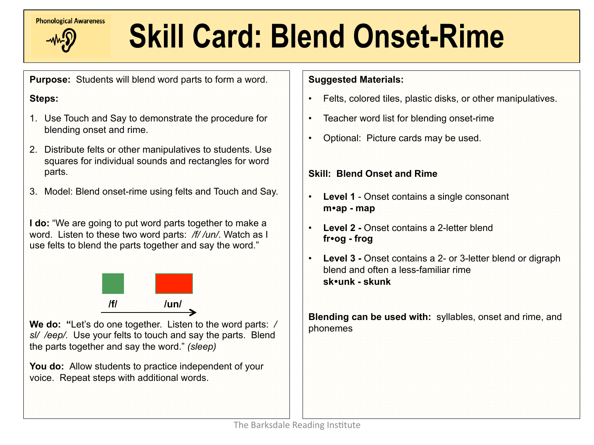

# **Examples call Awareness Skill Card: Blend Onset-Rime**

**Purpose:** Students will blend word parts to form a word.

## **Steps:**

- 1. Use Touch and Say to demonstrate the procedure for blending onset and rime.
- 2. Distribute felts or other manipulatives to students. Use squares for individual sounds and rectangles for word parts.
- 3. Model: Blend onset-rime using felts and Touch and Say.

**I do:** "We are going to put word parts together to make a word. Listen to these two word parts: */f/ /un/*. Watch as I use felts to blend the parts together and say the word."



**We do: "**Let's do one together. Listen to the word parts: */ sl/ /eep/.* Use your felts to touch and say the parts. Blend the parts together and say the word." *(sleep)* 

**You do:** Allow students to practice independent of your voice. Repeat steps with additional words.

## **Suggested Materials:**

- Felts, colored tiles, plastic disks, or other manipulatives.
- Teacher word list for blending onset-rime
- Optional: Picture cards may be used.

### **Skill: Blend Onset and Rime**

- **Level 1**  Onset contains a single consonant **m**!**ap - map**
- **Level 2** Onset contains a 2-letter blend **fr**!**og - frog**
- **Level 3 Onset contains a 2- or 3-letter blend or digraph** blend and often a less-familiar rime **sk**!**unk - skunk**

**Blending can be used with:** syllables, onset and rime, and phonemes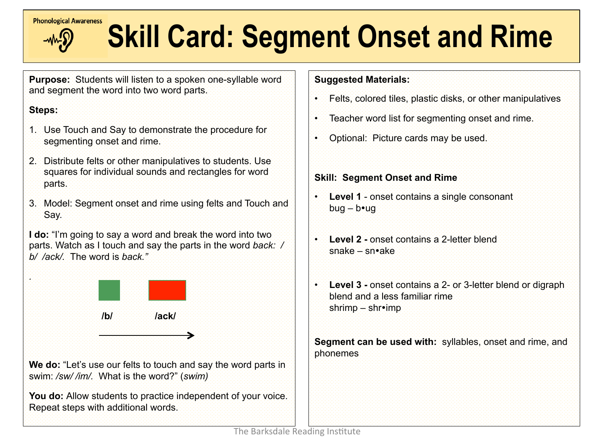

# **Express cardiographs and Skill Card: Segment Onset and Rime**

**Purpose:** Students will listen to a spoken one-syllable word and segment the word into two word parts.

# **Steps:**

*.* 

Í

- 1. Use Touch and Say to demonstrate the procedure for segmenting onset and rime.
- 2. Distribute felts or other manipulatives to students. Use squares for individual sounds and rectangles for word parts.
- 3. Model: Segment onset and rime using felts and Touch and Say.

**I do:** "I'm going to say a word and break the word into two parts. Watch as I touch and say the parts in the word *back: / b/ /ack/.* The word is *back."*



**We do:** "Let's use our felts to touch and say the word parts in swim: */sw/ /im/.* What is the word?" (*swim)* 

**You do:** Allow students to practice independent of your voice. Repeat steps with additional words.

### **Suggested Materials:**

- Felts, colored tiles, plastic disks, or other manipulatives
- Teacher word list for segmenting onset and rime.
- Optional: Picture cards may be used.

### **Skill: Segment Onset and Rime**

- **Level 1**  onset contains a single consonant bug – bug
- **Level 2** onset contains a 2-letter blend  $s$ nake – sn•ake
- **Level 3** onset contains a 2- or 3-letter blend or digraph blend and a less familiar rime shrimp – shr•imp

**Segment can be used with:** syllables, onset and rime, and phonemes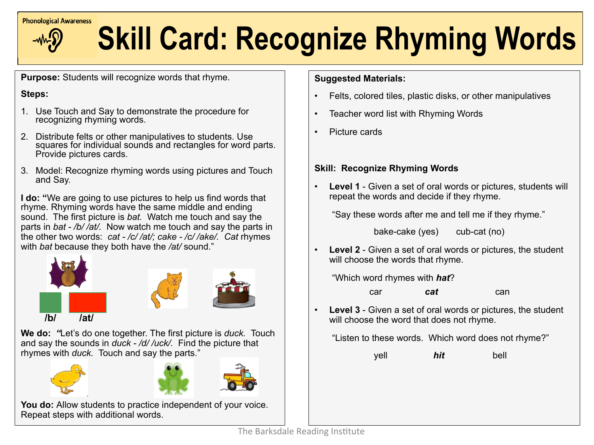

# **Extendiogrical Awareness** Skill Card: Recognize Rhyming Words

**Purpose:** Students will recognize words that rhyme.

#### **Steps:**

- 1. Use Touch and Say to demonstrate the procedure for recognizing rhyming words.
- 2. Distribute felts or other manipulatives to students. Use squares for individual sounds and rectangles for word parts. Provide pictures cards.
- 3. Model: Recognize rhyming words using pictures and Touch and Say.

**I do: "**We are going to use pictures to help us find words that rhyme. Rhyming words have the same middle and ending sound. The first picture is *bat.* Watch me touch and say the parts in *bat - /b/ /at/.* Now watch me touch and say the parts in the other two words: *cat - /c/ /at/; cake - /c/ /ake/. Cat* rhymes with *bat* because they both have the */at/* sound."



**We do:** *"*Let's do one together. The first picture is *duck.* Touch and say the sounds in *duck - /d/ /uck/.* Find the picture that rhymes with *duck.* Touch and say the parts."







**You do:** Allow students to practice independent of your voice. Repeat steps with additional words.

### **Suggested Materials:**

- Felts, colored tiles, plastic disks, or other manipulatives
- Teacher word list with Rhyming Words
- Picture cards

## **Skill: Recognize Rhyming Words**

**Level 1** - Given a set of oral words or pictures, students will repeat the words and decide if they rhyme.

"Say these words after me and tell me if they rhyme."

bake-cake (yes) cub-cat (no)

**Level 2** - Given a set of oral words or pictures, the student will choose the words that rhyme.

"Which word rhymes with *hat*?

**car** *cat* **can** 

**Level 3** - Given a set of oral words or pictures, the student will choose the word that does not rhyme.

"Listen to these words. Which word does not rhyme?"

yell *hit* bell